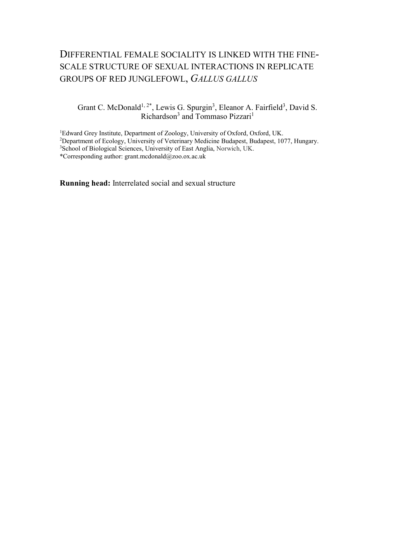# DIFFERENTIAL FEMALE SOCIALITY IS LINKED WITH THE FINE-SCALE STRUCTURE OF SEXUAL INTERACTIONS IN REPLICATE GROUPS OF RED JUNGLEFOWL, *GALLUS GALLUS*

### Grant C. McDonald<sup>1, 2\*</sup>, Lewis G. Spurgin<sup>3</sup>, Eleanor A. Fairfield<sup>3</sup>, David S. Richardson<sup>3</sup> and Tommaso Pizzari<sup>1</sup>

Edward Grey Institute, Department of Zoology, University of Oxford, Oxford, UK. Department of Ecology, University of Veterinary Medicine Budapest, Budapest, 1077, Hungary. School of Biological Sciences, University of East Anglia, Norwich, UK. \*Corresponding author: grant.mcdonald@zoo.ox.ac.uk

**Running head:** Interrelated social and sexual structure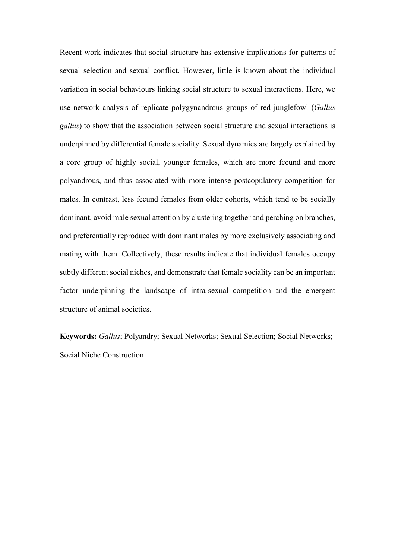Recent work indicates that social structure has extensive implications for patterns of sexual selection and sexual conflict. However, little is known about the individual variation in social behaviours linking social structure to sexual interactions. Here, we use network analysis of replicate polygynandrous groups of red junglefowl (*Gallus gallus*) to show that the association between social structure and sexual interactions is underpinned by differential female sociality. Sexual dynamics are largely explained by a core group of highly social, younger females, which are more fecund and more polyandrous, and thus associated with more intense postcopulatory competition for males. In contrast, less fecund females from older cohorts, which tend to be socially dominant, avoid male sexual attention by clustering together and perching on branches, and preferentially reproduce with dominant males by more exclusively associating and mating with them. Collectively, these results indicate that individual females occupy subtly different social niches, and demonstrate that female sociality can be an important factor underpinning the landscape of intra-sexual competition and the emergent structure of animal societies.

**Keywords:** *Gallus*; Polyandry; Sexual Networks; Sexual Selection; Social Networks; Social Niche Construction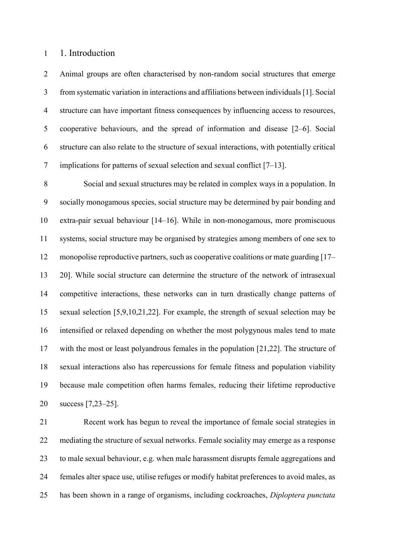#### 1. Introduction

 Animal groups are often characterised by non-random social structures that emerge from systematic variation in interactions and affiliations between individuals[1]. Social structure can have important fitness consequences by influencing access to resources, cooperative behaviours, and the spread of information and disease [2–6]. Social structure can also relate to the structure of sexual interactions, with potentially critical implications for patterns of sexual selection and sexual conflict [7–13].

 Social and sexual structures may be related in complex ways in a population. In socially monogamous species, social structure may be determined by pair bonding and extra-pair sexual behaviour [14–16]. While in non-monogamous, more promiscuous systems, social structure may be organised by strategies among members of one sex to monopolise reproductive partners, such as cooperative coalitions or mate guarding [17– 20]. While social structure can determine the structure of the network of intrasexual competitive interactions, these networks can in turn drastically change patterns of sexual selection [5,9,10,21,22]. For example, the strength of sexual selection may be intensified or relaxed depending on whether the most polygynous males tend to mate with the most or least polyandrous females in the population [21,22]. The structure of sexual interactions also has repercussions for female fitness and population viability because male competition often harms females, reducing their lifetime reproductive success [7,23–25].

 Recent work has begun to reveal the importance of female social strategies in mediating the structure of sexual networks. Female sociality may emerge as a response to male sexual behaviour, e.g. when male harassment disrupts female aggregations and females alter space use, utilise refuges or modify habitat preferences to avoid males, as has been shown in a range of organisms, including cockroaches, *Diploptera punctata*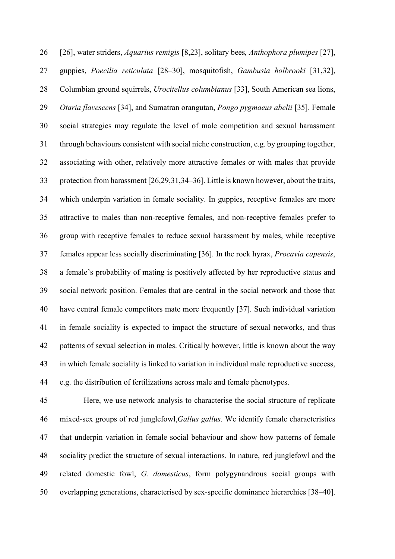[26], water striders, *Aquarius remigis* [8,23], solitary bees*, Anthophora plumipes* [27], guppies, *Poecilia reticulata* [28–30], mosquitofish, *Gambusia holbrooki* [31,32], Columbian ground squirrels, *Urocitellus columbianus* [33], South American sea lions, *Otaria flavescens* [34], and Sumatran orangutan, *Pongo pygmaeus abelii* [35]. Female social strategies may regulate the level of male competition and sexual harassment through behaviours consistent with social niche construction, e.g. by grouping together, associating with other, relatively more attractive females or with males that provide protection from harassment [26,29,31,34–36]. Little is known however, about the traits, which underpin variation in female sociality. In guppies, receptive females are more attractive to males than non-receptive females, and non-receptive females prefer to group with receptive females to reduce sexual harassment by males, while receptive females appear less socially discriminating [36]. In the rock hyrax, *Procavia capensis*, a female's probability of mating is positively affected by her reproductive status and social network position. Females that are central in the social network and those that have central female competitors mate more frequently [37]. Such individual variation in female sociality is expected to impact the structure of sexual networks, and thus patterns of sexual selection in males. Critically however, little is known about the way in which female sociality is linked to variation in individual male reproductive success, e.g. the distribution of fertilizations across male and female phenotypes.

 Here, we use network analysis to characterise the social structure of replicate mixed-sex groups of red junglefowl,*Gallus gallus*. We identify female characteristics that underpin variation in female social behaviour and show how patterns of female sociality predict the structure of sexual interactions. In nature, red junglefowl and the related domestic fowl, *G. domesticus*, form polygynandrous social groups with overlapping generations, characterised by sex-specific dominance hierarchies [38–40].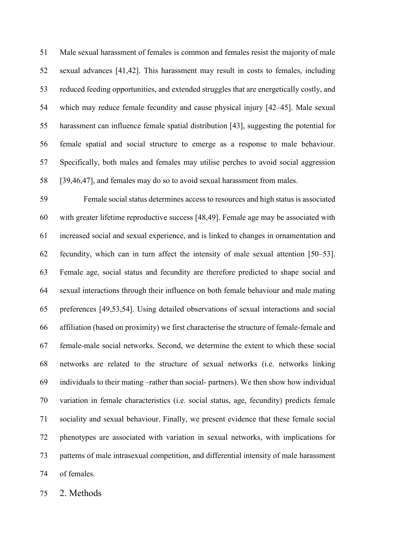Male sexual harassment of females is common and females resist the majority of male sexual advances [41,42]. This harassment may result in costs to females, including reduced feeding opportunities, and extended struggles that are energetically costly, and which may reduce female fecundity and cause physical injury [42–45]. Male sexual harassment can influence female spatial distribution [43], suggesting the potential for female spatial and social structure to emerge as a response to male behaviour. Specifically, both males and females may utilise perches to avoid social aggression [39,46,47], and females may do so to avoid sexual harassment from males.

 Female social status determines access to resources and high status is associated with greater lifetime reproductive success [48,49]. Female age may be associated with increased social and sexual experience, and is linked to changes in ornamentation and fecundity, which can in turn affect the intensity of male sexual attention [50–53]. Female age, social status and fecundity are therefore predicted to shape social and sexual interactions through their influence on both female behaviour and male mating preferences [49,53,54]. Using detailed observations of sexual interactions and social affiliation (based on proximity) we first characterise the structure of female-female and female-male social networks. Second, we determine the extent to which these social networks are related to the structure of sexual networks (i.e. networks linking individuals to their mating –rather than social- partners). We then show how individual variation in female characteristics (i.e. social status, age, fecundity) predicts female sociality and sexual behaviour. Finally, we present evidence that these female social phenotypes are associated with variation in sexual networks, with implications for patterns of male intrasexual competition, and differential intensity of male harassment of females.

2. Methods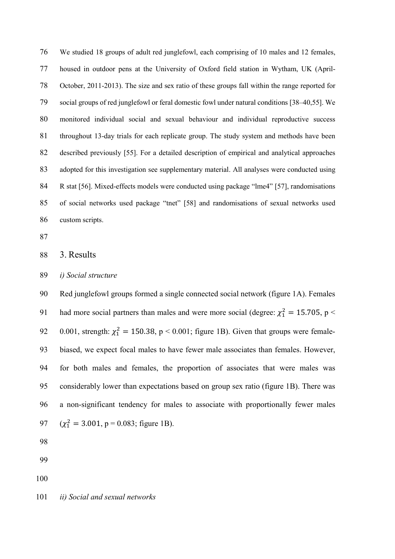We studied 18 groups of adult red junglefowl, each comprising of 10 males and 12 females, housed in outdoor pens at the University of Oxford field station in Wytham, UK (April- October, 2011-2013). The size and sex ratio of these groups fall within the range reported for social groups of red junglefowl or feral domestic fowl under natural conditions [38–40,55]. We monitored individual social and sexual behaviour and individual reproductive success throughout 13-day trials for each replicate group. The study system and methods have been described previously [55]. For a detailed description of empirical and analytical approaches adopted for this investigation see supplementary material. All analyses were conducted using 84 R stat [56]. Mixed-effects models were conducted using package "lme4" [57], randomisations of social networks used package "tnet" [58] and randomisations of sexual networks used custom scripts.

- 
- 3. Results
- *i) Social structure*

 Red junglefowl groups formed a single connected social network (figure 1A). Females 91 had more social partners than males and were more social (degree:  $\chi_1^2 = 15.705$ , p < 92 0.001, strength:  $\chi_1^2 = 150.38$ , p < 0.001; figure 1B). Given that groups were female- biased, we expect focal males to have fewer male associates than females. However, for both males and females, the proportion of associates that were males was considerably lower than expectations based on group sex ratio (figure 1B). There was a non-significant tendency for males to associate with proportionally fewer males  $(\chi_1^2 = 3.001, p = 0.083; \text{ figure 1B}).$ 

*ii) Social and sexual networks*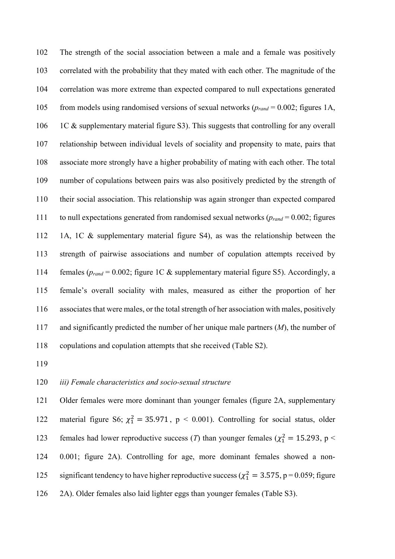The strength of the social association between a male and a female was positively correlated with the probability that they mated with each other. The magnitude of the correlation was more extreme than expected compared to null expectations generated from models using randomised versions of sexual networks (*prand* = 0.002; figures 1A, 106 1C & supplementary material figure S3). This suggests that controlling for any overall relationship between individual levels of sociality and propensity to mate, pairs that associate more strongly have a higher probability of mating with each other. The total number of copulations between pairs was also positively predicted by the strength of their social association. This relationship was again stronger than expected compared to null expectations generated from randomised sexual networks (*prand* = 0.002; figures 1A, 1C & supplementary material figure S4), as was the relationship between the strength of pairwise associations and number of copulation attempts received by females (*prand* = 0.002; figure 1C & supplementary material figure S5). Accordingly, a female's overall sociality with males, measured as either the proportion of her associates that were males, or the total strength of her association with males, positively and significantly predicted the number of her unique male partners (*M*), the number of copulations and copulation attempts that she received (Table S2).

#### *iii) Female characteristics and socio-sexual structure*

 Older females were more dominant than younger females (figure 2A, supplementary 122 material figure S6;  $\chi_1^2 = 35.971$ , p < 0.001). Controlling for social status, older 123 females had lower reproductive success (*T*) than younger females ( $\chi_1^2 = 15.293$ , p < 0.001; figure 2A). Controlling for age, more dominant females showed a non-125 significant tendency to have higher reproductive success ( $\chi_1^2 = 3.575$ , p = 0.059; figure 2A). Older females also laid lighter eggs than younger females (Table S3).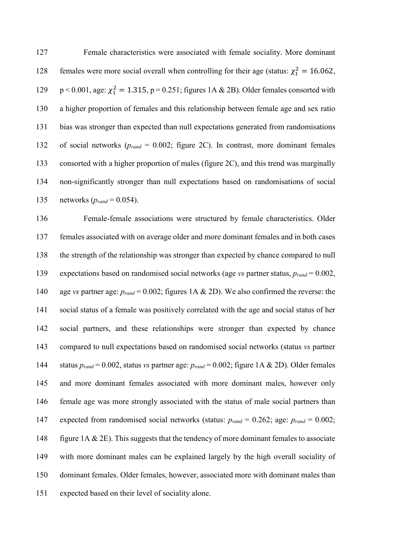Female characteristics were associated with female sociality. More dominant 128 females were more social overall when controlling for their age (status:  $\chi_1^2 = 16.062$ ,  $p < 0.001$ , age:  $\chi_1^2 = 1.315$ ,  $p = 0.251$ ; figures 1A & 2B). Older females consorted with a higher proportion of females and this relationship between female age and sex ratio bias was stronger than expected than null expectations generated from randomisations of social networks (*prand* = 0.002; figure 2C). In contrast, more dominant females consorted with a higher proportion of males (figure 2C), and this trend was marginally non-significantly stronger than null expectations based on randomisations of social networks (*prand* = 0.054).

 Female-female associations were structured by female characteristics. Older females associated with on average older and more dominant females and in both cases the strength of the relationship was stronger than expected by chance compared to null expectations based on randomised social networks (age *vs* partner status, *prand* = 0.002, age *vs* partner age: *prand* = 0.002; figures 1A & 2D). We also confirmed the reverse: the social status of a female was positively correlated with the age and social status of her social partners, and these relationships were stronger than expected by chance compared to null expectations based on randomised social networks (status *vs* partner status *prand* = 0.002, status *vs* partner age: *prand* = 0.002; figure 1A & 2D). Older females and more dominant females associated with more dominant males, however only female age was more strongly associated with the status of male social partners than expected from randomised social networks (status: *prand* = 0.262; age: *prand* = 0.002; 148 figure 1A & 2E). This suggests that the tendency of more dominant females to associate with more dominant males can be explained largely by the high overall sociality of dominant females. Older females, however, associated more with dominant males than expected based on their level of sociality alone.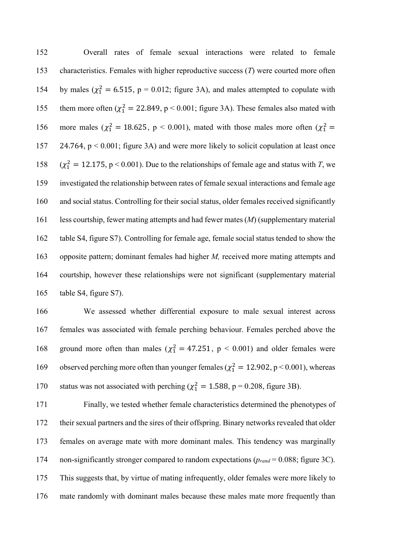Overall rates of female sexual interactions were related to female characteristics. Females with higher reproductive success (*T*) were courted more often 154 by males ( $\chi_1^2 = 6.515$ , p = 0.012; figure 3A), and males attempted to copulate with 155 them more often ( $\chi^2$  = 22.849, p < 0.001; figure 3A). These females also mated with 156 more males ( $\chi_1^2 = 18.625$ , p < 0.001), mated with those males more often ( $\chi_1^2 =$  24.764, p < 0.001; figure 3A) and were more likely to solicit copulation at least once  $(\chi_1^2 = 12.175, p < 0.001)$ . Due to the relationships of female age and status with *T*, we investigated the relationship between rates of female sexual interactions and female age and social status. Controlling for their social status, older females received significantly less courtship, fewer mating attempts and had fewer mates (*M*) (supplementary material table S4, figure S7). Controlling for female age, female social status tended to show the opposite pattern; dominant females had higher *M,* received more mating attempts and courtship, however these relationships were not significant (supplementary material table S4, figure S7).

 We assessed whether differential exposure to male sexual interest across females was associated with female perching behaviour. Females perched above the 168 ground more often than males ( $\chi_1^2 = 47.251$ , p < 0.001) and older females were 169 observed perching more often than younger females ( $\chi_1^2 = 12.902$ , p < 0.001), whereas 170 status was not associated with perching ( $\chi_1^2 = 1.588$ , p = 0.208, figure 3B).

 Finally, we tested whether female characteristics determined the phenotypes of their sexual partners and the sires of their offspring. Binary networks revealed that older females on average mate with more dominant males. This tendency was marginally non-significantly stronger compared to random expectations (*prand* = 0.088; figure 3C). This suggests that, by virtue of mating infrequently, older females were more likely to mate randomly with dominant males because these males mate more frequently than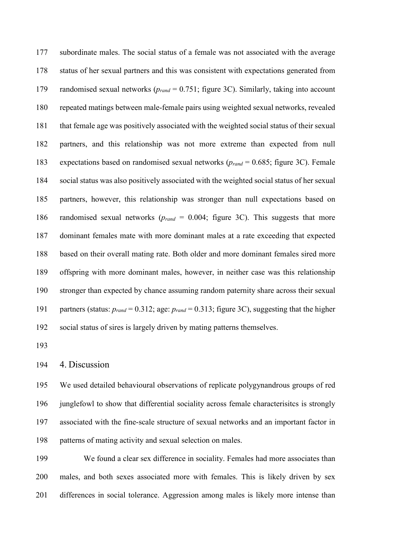subordinate males. The social status of a female was not associated with the average status of her sexual partners and this was consistent with expectations generated from randomised sexual networks (*prand* = 0.751; figure 3C). Similarly, taking into account repeated matings between male-female pairs using weighted sexual networks, revealed that female age was positively associated with the weighted social status of their sexual partners, and this relationship was not more extreme than expected from null expectations based on randomised sexual networks (*prand* = 0.685; figure 3C). Female social status was also positively associated with the weighted social status of her sexual partners, however, this relationship was stronger than null expectations based on randomised sexual networks (*prand* = 0.004; figure 3C). This suggests that more dominant females mate with more dominant males at a rate exceeding that expected based on their overall mating rate. Both older and more dominant females sired more offspring with more dominant males, however, in neither case was this relationship stronger than expected by chance assuming random paternity share across their sexual partners (status: *prand* = 0.312; age: *prand* = 0.313; figure 3C), suggesting that the higher social status of sires is largely driven by mating patterns themselves.

#### 4. Discussion

 We used detailed behavioural observations of replicate polygynandrous groups of red junglefowl to show that differential sociality across female characterisitcs is strongly associated with the fine-scale structure of sexual networks and an important factor in patterns of mating activity and sexual selection on males.

 We found a clear sex difference in sociality. Females had more associates than males, and both sexes associated more with females. This is likely driven by sex differences in social tolerance. Aggression among males is likely more intense than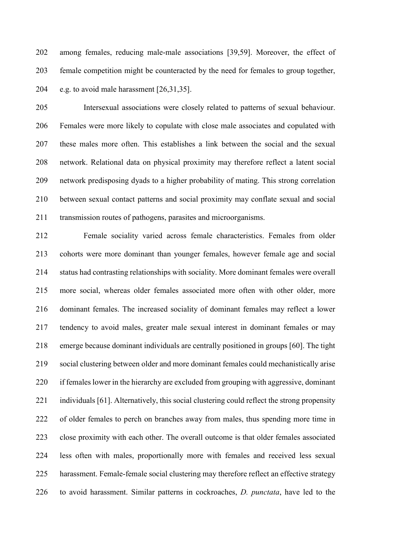among females, reducing male-male associations [39,59]. Moreover, the effect of female competition might be counteracted by the need for females to group together, e.g. to avoid male harassment [26,31,35].

 Intersexual associations were closely related to patterns of sexual behaviour. Females were more likely to copulate with close male associates and copulated with these males more often. This establishes a link between the social and the sexual network. Relational data on physical proximity may therefore reflect a latent social network predisposing dyads to a higher probability of mating. This strong correlation between sexual contact patterns and social proximity may conflate sexual and social transmission routes of pathogens, parasites and microorganisms.

 Female sociality varied across female characteristics. Females from older cohorts were more dominant than younger females, however female age and social status had contrasting relationships with sociality. More dominant females were overall more social, whereas older females associated more often with other older, more dominant females. The increased sociality of dominant females may reflect a lower tendency to avoid males, greater male sexual interest in dominant females or may emerge because dominant individuals are centrally positioned in groups [60]. The tight social clustering between older and more dominant females could mechanistically arise if females lower in the hierarchy are excluded from grouping with aggressive, dominant individuals [61]. Alternatively, this social clustering could reflect the strong propensity of older females to perch on branches away from males, thus spending more time in close proximity with each other. The overall outcome is that older females associated less often with males, proportionally more with females and received less sexual harassment. Female-female social clustering may therefore reflect an effective strategy to avoid harassment. Similar patterns in cockroaches, *D. punctata*, have led to the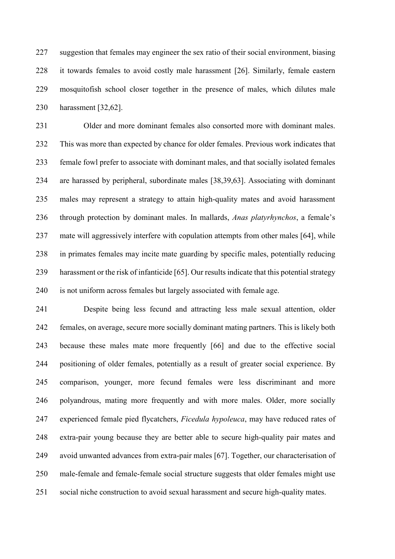suggestion that females may engineer the sex ratio of their social environment, biasing it towards females to avoid costly male harassment [26]. Similarly, female eastern mosquitofish school closer together in the presence of males, which dilutes male harassment [32,62].

 Older and more dominant females also consorted more with dominant males. This was more than expected by chance for older females. Previous work indicates that female fowl prefer to associate with dominant males, and that socially isolated females are harassed by peripheral, subordinate males [38,39,63]. Associating with dominant males may represent a strategy to attain high-quality mates and avoid harassment through protection by dominant males. In mallards, *Anas platyrhynchos*, a female's mate will aggressively interfere with copulation attempts from other males [64], while in primates females may incite mate guarding by specific males, potentially reducing harassment or the risk of infanticide [65]. Our results indicate that this potential strategy is not uniform across females but largely associated with female age.

 Despite being less fecund and attracting less male sexual attention, older females, on average, secure more socially dominant mating partners. This is likely both because these males mate more frequently [66] and due to the effective social positioning of older females, potentially as a result of greater social experience. By comparison, younger, more fecund females were less discriminant and more polyandrous, mating more frequently and with more males. Older, more socially experienced female pied flycatchers, *Ficedula hypoleuca*, may have reduced rates of extra-pair young because they are better able to secure high-quality pair mates and avoid unwanted advances from extra-pair males [67]. Together, our characterisation of male-female and female-female social structure suggests that older females might use social niche construction to avoid sexual harassment and secure high-quality mates.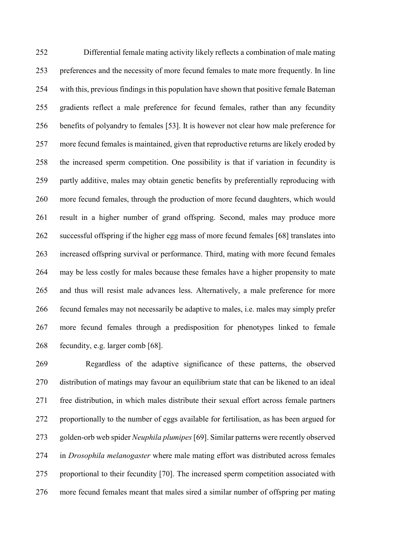Differential female mating activity likely reflects a combination of male mating preferences and the necessity of more fecund females to mate more frequently. In line with this, previous findings in this population have shown that positive female Bateman gradients reflect a male preference for fecund females, rather than any fecundity benefits of polyandry to females [53]. It is however not clear how male preference for more fecund females is maintained, given that reproductive returns are likely eroded by the increased sperm competition. One possibility is that if variation in fecundity is partly additive, males may obtain genetic benefits by preferentially reproducing with more fecund females, through the production of more fecund daughters, which would result in a higher number of grand offspring. Second, males may produce more successful offspring if the higher egg mass of more fecund females [68] translates into increased offspring survival or performance. Third, mating with more fecund females may be less costly for males because these females have a higher propensity to mate and thus will resist male advances less. Alternatively, a male preference for more fecund females may not necessarily be adaptive to males, i.e. males may simply prefer more fecund females through a predisposition for phenotypes linked to female fecundity, e.g. larger comb [68].

 Regardless of the adaptive significance of these patterns, the observed distribution of matings may favour an equilibrium state that can be likened to an ideal free distribution, in which males distribute their sexual effort across female partners proportionally to the number of eggs available for fertilisation, as has been argued for golden-orb web spider *Neuphila plumipes* [69]. Similar patterns were recently observed in *Drosophila melanogaster* where male mating effort was distributed across females proportional to their fecundity [70]. The increased sperm competition associated with more fecund females meant that males sired a similar number of offspring per mating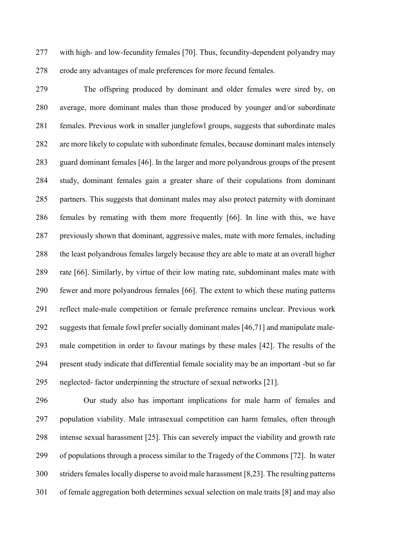with high- and low-fecundity females [70]. Thus, fecundity-dependent polyandry may erode any advantages of male preferences for more fecund females.

 The offspring produced by dominant and older females were sired by, on average, more dominant males than those produced by younger and/or subordinate females. Previous work in smaller junglefowl groups, suggests that subordinate males are more likely to copulate with subordinate females, because dominant males intensely guard dominant females [46]. In the larger and more polyandrous groups of the present study, dominant females gain a greater share of their copulations from dominant partners. This suggests that dominant males may also protect paternity with dominant females by remating with them more frequently [66]. In line with this, we have previously shown that dominant, aggressive males, mate with more females, including the least polyandrous females largely because they are able to mate at an overall higher rate [66]. Similarly, by virtue of their low mating rate, subdominant males mate with fewer and more polyandrous females [66]. The extent to which these mating patterns reflect male-male competition or female preference remains unclear. Previous work suggests that female fowl prefer socially dominant males [46,71] and manipulate male- male competition in order to favour matings by these males [42]. The results of the present study indicate that differential female sociality may be an important -but so far neglected- factor underpinning the structure of sexual networks [21].

 Our study also has important implications for male harm of females and population viability. Male intrasexual competition can harm females, often through intense sexual harassment [25]. This can severely impact the viability and growth rate of populations through a process similar to the Tragedy of the Commons [72]. In water striders females locally disperse to avoid male harassment [8,23]. The resulting patterns of female aggregation both determines sexual selection on male traits [8] and may also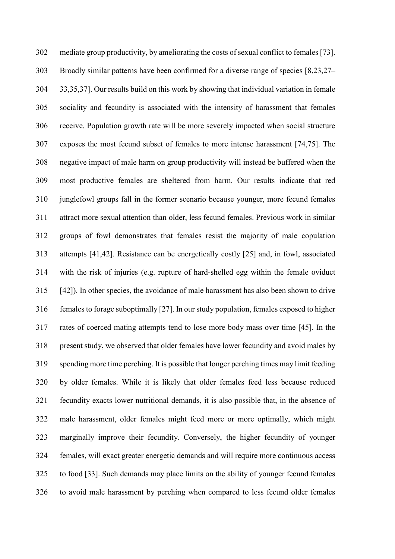mediate group productivity, by ameliorating the costs of sexual conflict to females [73]. Broadly similar patterns have been confirmed for a diverse range of species [8,23,27– 33,35,37]. Our results build on this work by showing that individual variation in female sociality and fecundity is associated with the intensity of harassment that females receive. Population growth rate will be more severely impacted when social structure exposes the most fecund subset of females to more intense harassment [74,75]. The negative impact of male harm on group productivity will instead be buffered when the most productive females are sheltered from harm. Our results indicate that red junglefowl groups fall in the former scenario because younger, more fecund females attract more sexual attention than older, less fecund females. Previous work in similar groups of fowl demonstrates that females resist the majority of male copulation attempts [41,42]. Resistance can be energetically costly [25] and, in fowl, associated with the risk of injuries (e.g. rupture of hard-shelled egg within the female oviduct [42]). In other species, the avoidance of male harassment has also been shown to drive females to forage suboptimally [27]. In our study population, females exposed to higher rates of coerced mating attempts tend to lose more body mass over time [45]. In the present study, we observed that older females have lower fecundity and avoid males by spending more time perching. It is possible that longer perching times may limit feeding by older females. While it is likely that older females feed less because reduced fecundity exacts lower nutritional demands, it is also possible that, in the absence of male harassment, older females might feed more or more optimally, which might marginally improve their fecundity. Conversely, the higher fecundity of younger females, will exact greater energetic demands and will require more continuous access to food [33]. Such demands may place limits on the ability of younger fecund females to avoid male harassment by perching when compared to less fecund older females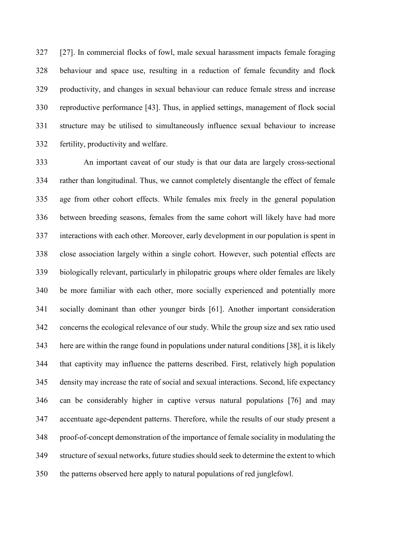[27]. In commercial flocks of fowl, male sexual harassment impacts female foraging behaviour and space use, resulting in a reduction of female fecundity and flock productivity, and changes in sexual behaviour can reduce female stress and increase reproductive performance [43]. Thus, in applied settings, management of flock social structure may be utilised to simultaneously influence sexual behaviour to increase fertility, productivity and welfare.

 An important caveat of our study is that our data are largely cross-sectional rather than longitudinal. Thus, we cannot completely disentangle the effect of female age from other cohort effects. While females mix freely in the general population between breeding seasons, females from the same cohort will likely have had more interactions with each other. Moreover, early development in our population is spent in close association largely within a single cohort. However, such potential effects are biologically relevant, particularly in philopatric groups where older females are likely be more familiar with each other, more socially experienced and potentially more socially dominant than other younger birds [61]. Another important consideration concerns the ecological relevance of our study. While the group size and sex ratio used here are within the range found in populations under natural conditions [38], it is likely that captivity may influence the patterns described. First, relatively high population density may increase the rate of social and sexual interactions. Second, life expectancy can be considerably higher in captive versus natural populations [76] and may accentuate age-dependent patterns. Therefore, while the results of our study present a proof-of-concept demonstration of the importance of female sociality in modulating the structure of sexual networks, future studiesshould seek to determine the extent to which the patterns observed here apply to natural populations of red junglefowl.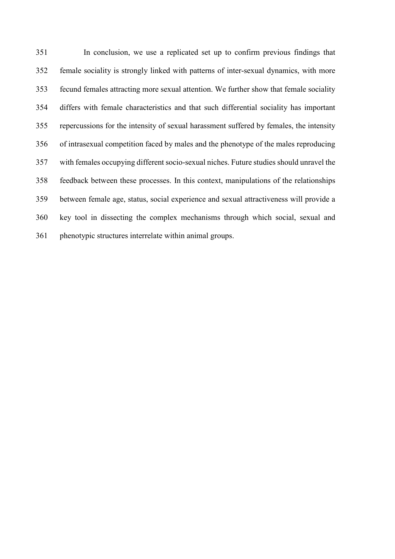In conclusion, we use a replicated set up to confirm previous findings that female sociality is strongly linked with patterns of inter-sexual dynamics, with more fecund females attracting more sexual attention. We further show that female sociality differs with female characteristics and that such differential sociality has important repercussions for the intensity of sexual harassment suffered by females, the intensity of intrasexual competition faced by males and the phenotype of the males reproducing with females occupying different socio-sexual niches. Future studies should unravel the feedback between these processes. In this context, manipulations of the relationships between female age, status, social experience and sexual attractiveness will provide a key tool in dissecting the complex mechanisms through which social, sexual and phenotypic structures interrelate within animal groups.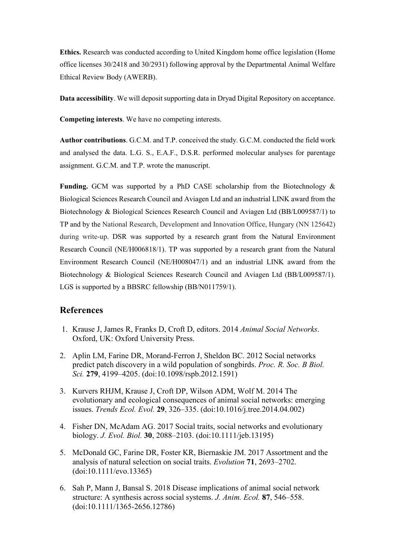**Ethics.** Research was conducted according to United Kingdom home office legislation (Home office licenses 30/2418 and 30/2931) following approval by the Departmental Animal Welfare Ethical Review Body (AWERB).

**Data accessibility**. We will deposit supporting data in Dryad Digital Repository on acceptance.

**Competing interests**. We have no competing interests.

**Author contributions**. G.C.M. and T.P. conceived the study. G.C.M. conducted the field work and analysed the data. L.G. S., E.A.F., D.S.R. performed molecular analyses for parentage assignment. G.C.M. and T.P. wrote the manuscript.

Funding. GCM was supported by a PhD CASE scholarship from the Biotechnology  $\&$ Biological Sciences Research Council and Aviagen Ltd and an industrial LINK award from the Biotechnology & Biological Sciences Research Council and Aviagen Ltd (BB/L009587/1) to TP and by the National Research, Development and Innovation Office, Hungary (NN 125642) during write-up. DSR was supported by a research grant from the Natural Environment Research Council (NE/H006818/1). TP was supported by a research grant from the Natural Environment Research Council (NE/H008047/1) and an industrial LINK award from the Biotechnology & Biological Sciences Research Council and Aviagen Ltd (BB/L009587/1). LGS is supported by a BBSRC fellowship (BB/N011759/1).

## **References**

- 1. Krause J, James R, Franks D, Croft D, editors. 2014 *Animal Social Networks*. Oxford, UK: Oxford University Press.
- 2. Aplin LM, Farine DR, Morand-Ferron J, Sheldon BC. 2012 Social networks predict patch discovery in a wild population of songbirds. *Proc. R. Soc. B Biol. Sci.* **279**, 4199–4205. (doi:10.1098/rspb.2012.1591)
- 3. Kurvers RHJM, Krause J, Croft DP, Wilson ADM, Wolf M. 2014 The evolutionary and ecological consequences of animal social networks: emerging issues. *Trends Ecol. Evol.* **29**, 326–335. (doi:10.1016/j.tree.2014.04.002)
- 4. Fisher DN, McAdam AG. 2017 Social traits, social networks and evolutionary biology. *J. Evol. Biol.* **30**, 2088–2103. (doi:10.1111/jeb.13195)
- 5. McDonald GC, Farine DR, Foster KR, Biernaskie JM. 2017 Assortment and the analysis of natural selection on social traits. *Evolution* **71**, 2693–2702. (doi:10.1111/evo.13365)
- 6. Sah P, Mann J, Bansal S. 2018 Disease implications of animal social network structure: A synthesis across social systems. *J. Anim. Ecol.* **87**, 546–558. (doi:10.1111/1365-2656.12786)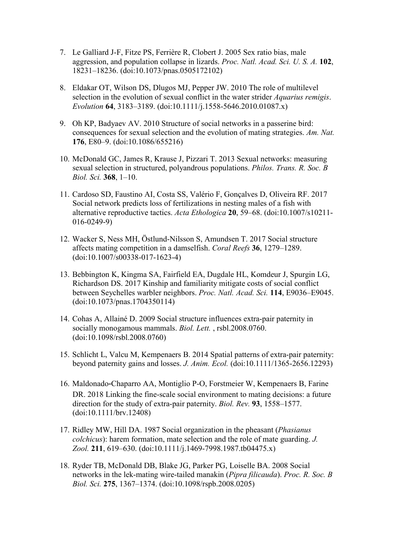- 7. Le Galliard J-F, Fitze PS, Ferrière R, Clobert J. 2005 Sex ratio bias, male aggression, and population collapse in lizards. *Proc. Natl. Acad. Sci. U. S. A.* **102**, 18231–18236. (doi:10.1073/pnas.0505172102)
- 8. Eldakar OT, Wilson DS, Dlugos MJ, Pepper JW. 2010 The role of multilevel selection in the evolution of sexual conflict in the water strider *Aquarius remigis*. *Evolution* **64**, 3183–3189. (doi:10.1111/j.1558-5646.2010.01087.x)
- 9. Oh KP, Badyaev AV. 2010 Structure of social networks in a passerine bird: consequences for sexual selection and the evolution of mating strategies. *Am. Nat.* **176**, E80–9. (doi:10.1086/655216)
- 10. McDonald GC, James R, Krause J, Pizzari T. 2013 Sexual networks: measuring sexual selection in structured, polyandrous populations. *Philos. Trans. R. Soc. B Biol. Sci.* **368**, 1–10.
- 11. Cardoso SD, Faustino AI, Costa SS, Valério F, Gonçalves D, Oliveira RF. 2017 Social network predicts loss of fertilizations in nesting males of a fish with alternative reproductive tactics. *Acta Ethologica* **20**, 59–68. (doi:10.1007/s10211- 016-0249-9)
- 12. Wacker S, Ness MH, Östlund-Nilsson S, Amundsen T. 2017 Social structure affects mating competition in a damselfish. *Coral Reefs* **36**, 1279–1289. (doi:10.1007/s00338-017-1623-4)
- 13. Bebbington K, Kingma SA, Fairfield EA, Dugdale HL, Komdeur J, Spurgin LG, Richardson DS. 2017 Kinship and familiarity mitigate costs of social conflict between Seychelles warbler neighbors. *Proc. Natl. Acad. Sci.* **114**, E9036–E9045. (doi:10.1073/pnas.1704350114)
- 14. Cohas A, Allainé D. 2009 Social structure influences extra-pair paternity in socially monogamous mammals. *Biol. Lett.* , rsbl.2008.0760. (doi:10.1098/rsbl.2008.0760)
- 15. Schlicht L, Valcu M, Kempenaers B. 2014 Spatial patterns of extra-pair paternity: beyond paternity gains and losses. *J. Anim. Ecol.* (doi:10.1111/1365-2656.12293)
- 16. Maldonado‐Chaparro AA, Montiglio P-O, Forstmeier W, Kempenaers B, Farine DR. 2018 Linking the fine-scale social environment to mating decisions: a future direction for the study of extra-pair paternity. *Biol. Rev.* **93**, 1558–1577. (doi:10.1111/brv.12408)
- 17. Ridley MW, Hill DA. 1987 Social organization in the pheasant (*Phasianus colchicus*): harem formation, mate selection and the role of mate guarding. *J. Zool.* **211**, 619–630. (doi:10.1111/j.1469-7998.1987.tb04475.x)
- 18. Ryder TB, McDonald DB, Blake JG, Parker PG, Loiselle BA. 2008 Social networks in the lek-mating wire-tailed manakin (*Pipra filicauda*). *Proc. R. Soc. B Biol. Sci.* **275**, 1367–1374. (doi:10.1098/rspb.2008.0205)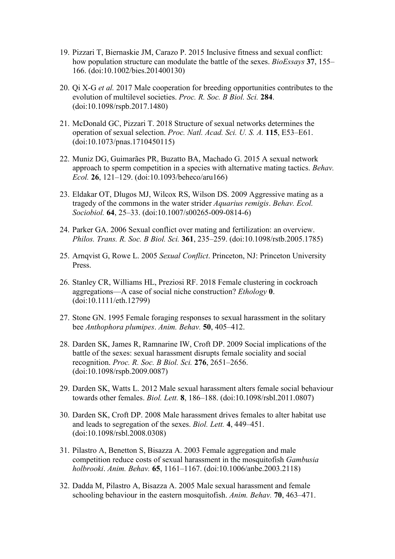- 19. Pizzari T, Biernaskie JM, Carazo P. 2015 Inclusive fitness and sexual conflict: how population structure can modulate the battle of the sexes. *BioEssays* **37**, 155– 166. (doi:10.1002/bies.201400130)
- 20. Qi X-G *et al.* 2017 Male cooperation for breeding opportunities contributes to the evolution of multilevel societies. *Proc. R. Soc. B Biol. Sci.* **284**. (doi:10.1098/rspb.2017.1480)
- 21. McDonald GC, Pizzari T. 2018 Structure of sexual networks determines the operation of sexual selection. *Proc. Natl. Acad. Sci. U. S. A.* **115**, E53–E61. (doi:10.1073/pnas.1710450115)
- 22. Muniz DG, Guimarães PR, Buzatto BA, Machado G. 2015 A sexual network approach to sperm competition in a species with alternative mating tactics. *Behav. Ecol.* **26**, 121–129. (doi:10.1093/beheco/aru166)
- 23. Eldakar OT, Dlugos MJ, Wilcox RS, Wilson DS. 2009 Aggressive mating as a tragedy of the commons in the water strider *Aquarius remigis*. *Behav. Ecol. Sociobiol.* **64**, 25–33. (doi:10.1007/s00265-009-0814-6)
- 24. Parker GA. 2006 Sexual conflict over mating and fertilization: an overview. *Philos. Trans. R. Soc. B Biol. Sci.* **361**, 235–259. (doi:10.1098/rstb.2005.1785)
- 25. Arnqvist G, Rowe L. 2005 *Sexual Conflict*. Princeton, NJ: Princeton University Press.
- 26. Stanley CR, Williams HL, Preziosi RF. 2018 Female clustering in cockroach aggregations—A case of social niche construction? *Ethology* **0**. (doi:10.1111/eth.12799)
- 27. Stone GN. 1995 Female foraging responses to sexual harassment in the solitary bee *Anthophora plumipes*. *Anim. Behav.* **50**, 405–412.
- 28. Darden SK, James R, Ramnarine IW, Croft DP. 2009 Social implications of the battle of the sexes: sexual harassment disrupts female sociality and social recognition. *Proc. R. Soc. B Biol. Sci.* **276**, 2651–2656. (doi:10.1098/rspb.2009.0087)
- 29. Darden SK, Watts L. 2012 Male sexual harassment alters female social behaviour towards other females. *Biol. Lett.* **8**, 186–188. (doi:10.1098/rsbl.2011.0807)
- 30. Darden SK, Croft DP. 2008 Male harassment drives females to alter habitat use and leads to segregation of the sexes. *Biol. Lett.* **4**, 449–451. (doi:10.1098/rsbl.2008.0308)
- 31. Pilastro A, Benetton S, Bisazza A. 2003 Female aggregation and male competition reduce costs of sexual harassment in the mosquitofish *Gambusia holbrooki*. *Anim. Behav.* **65**, 1161–1167. (doi:10.1006/anbe.2003.2118)
- 32. Dadda M, Pilastro A, Bisazza A. 2005 Male sexual harassment and female schooling behaviour in the eastern mosquitofish. *Anim. Behav.* **70**, 463–471.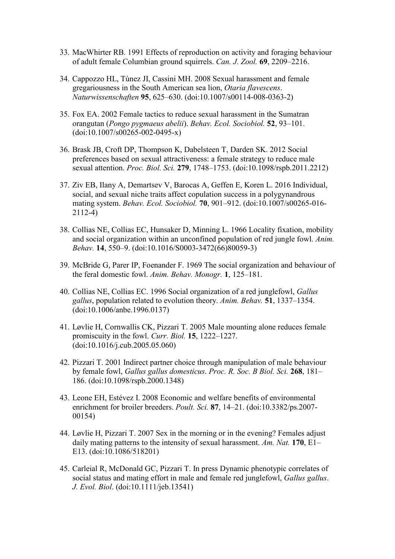- 33. MacWhirter RB. 1991 Effects of reproduction on activity and foraging behaviour of adult female Columbian ground squirrels. *Can. J. Zool.* **69**, 2209–2216.
- 34. Cappozzo HL, Túnez JI, Cassini MH. 2008 Sexual harassment and female gregariousness in the South American sea lion, *Otaria flavescens*. *Naturwissenschaften* **95**, 625–630. (doi:10.1007/s00114-008-0363-2)
- 35. Fox EA. 2002 Female tactics to reduce sexual harassment in the Sumatran orangutan (*Pongo pygmaeus abelii*). *Behav. Ecol. Sociobiol.* **52**, 93–101. (doi:10.1007/s00265-002-0495-x)
- 36. Brask JB, Croft DP, Thompson K, Dabelsteen T, Darden SK. 2012 Social preferences based on sexual attractiveness: a female strategy to reduce male sexual attention. *Proc. Biol. Sci.* **279**, 1748–1753. (doi:10.1098/rspb.2011.2212)
- 37. Ziv EB, Ilany A, Demartsev V, Barocas A, Geffen E, Koren L. 2016 Individual, social, and sexual niche traits affect copulation success in a polygynandrous mating system. *Behav. Ecol. Sociobiol.* **70**, 901–912. (doi:10.1007/s00265-016- 2112-4)
- 38. Collias NE, Collias EC, Hunsaker D, Minning L. 1966 Locality fixation, mobility and social organization within an unconfined population of red jungle fowl. *Anim. Behav.* **14**, 550–9. (doi:10.1016/S0003-3472(66)80059-3)
- 39. McBride G, Parer IP, Foenander F. 1969 The social organization and behaviour of the feral domestic fowl. *Anim. Behav. Monogr.* **1**, 125–181.
- 40. Collias NE, Collias EC. 1996 Social organization of a red junglefowl, *Gallus gallus*, population related to evolution theory. *Anim. Behav.* **51**, 1337–1354. (doi:10.1006/anbe.1996.0137)
- 41. Løvlie H, Cornwallis CK, Pizzari T. 2005 Male mounting alone reduces female promiscuity in the fowl. *Curr. Biol.* **15**, 1222–1227. (doi:10.1016/j.cub.2005.05.060)
- 42. Pizzari T. 2001 Indirect partner choice through manipulation of male behaviour by female fowl, *Gallus gallus domesticus*. *Proc. R. Soc. B Biol. Sci.* **268**, 181– 186. (doi:10.1098/rspb.2000.1348)
- 43. Leone EH, Estévez I. 2008 Economic and welfare benefits of environmental enrichment for broiler breeders. *Poult. Sci.* **87**, 14–21. (doi:10.3382/ps.2007- 00154)
- 44. Løvlie H, Pizzari T. 2007 Sex in the morning or in the evening? Females adjust daily mating patterns to the intensity of sexual harassment. *Am. Nat.* **170**, E1– E13. (doi:10.1086/518201)
- 45. Carleial R, McDonald GC, Pizzari T. In press Dynamic phenotypic correlates of social status and mating effort in male and female red junglefowl, *Gallus gallus*. *J. Evol. Biol*. (doi:10.1111/jeb.13541)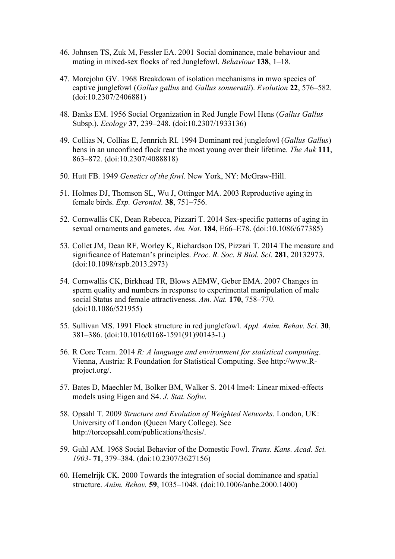- 46. Johnsen TS, Zuk M, Fessler EA. 2001 Social dominance, male behaviour and mating in mixed-sex flocks of red Junglefowl. *Behaviour* **138**, 1–18.
- 47. Morejohn GV. 1968 Breakdown of isolation mechanisms in mwo species of captive junglefowl (*Gallus gallus* and *Gallus sonneratii*). *Evolution* **22**, 576–582. (doi:10.2307/2406881)
- 48. Banks EM. 1956 Social Organization in Red Jungle Fowl Hens (*Gallus Gallus* Subsp.). *Ecology* **37**, 239–248. (doi:10.2307/1933136)
- 49. Collias N, Collias E, Jennrich RI. 1994 Dominant red junglefowl (*Gallus Gallus*) hens in an unconfined flock rear the most young over their lifetime. *The Auk* **111**, 863–872. (doi:10.2307/4088818)
- 50. Hutt FB. 1949 *Genetics of the fowl*. New York, NY: McGraw-Hill.
- 51. Holmes DJ, Thomson SL, Wu J, Ottinger MA. 2003 Reproductive aging in female birds. *Exp. Gerontol.* **38**, 751–756.
- 52. Cornwallis CK, Dean Rebecca, Pizzari T. 2014 Sex-specific patterns of aging in sexual ornaments and gametes. *Am. Nat.* **184**, E66–E78. (doi:10.1086/677385)
- 53. Collet JM, Dean RF, Worley K, Richardson DS, Pizzari T. 2014 The measure and significance of Bateman's principles. *Proc. R. Soc. B Biol. Sci.* **281**, 20132973. (doi:10.1098/rspb.2013.2973)
- 54. Cornwallis CK, Birkhead TR, Blows AEMW, Geber EMA. 2007 Changes in sperm quality and numbers in response to experimental manipulation of male social Status and female attractiveness. *Am. Nat.* **170**, 758–770. (doi:10.1086/521955)
- 55. Sullivan MS. 1991 Flock structure in red junglefowl. *Appl. Anim. Behav. Sci.* **30**, 381–386. (doi:10.1016/0168-1591(91)90143-L)
- 56. R Core Team. 2014 *R: A language and environment for statistical computing*. Vienna, Austria: R Foundation for Statistical Computing. See http://www.Rproject.org/.
- 57. Bates D, Maechler M, Bolker BM, Walker S. 2014 lme4: Linear mixed-effects models using Eigen and S4. *J. Stat. Softw.*
- 58. Opsahl T. 2009 *Structure and Evolution of Weighted Networks*. London, UK: University of London (Queen Mary College). See http://toreopsahl.com/publications/thesis/.
- 59. Guhl AM. 1968 Social Behavior of the Domestic Fowl. *Trans. Kans. Acad. Sci. 1903-* **71**, 379–384. (doi:10.2307/3627156)
- 60. Hemelrijk CK. 2000 Towards the integration of social dominance and spatial structure. *Anim. Behav.* **59**, 1035–1048. (doi:10.1006/anbe.2000.1400)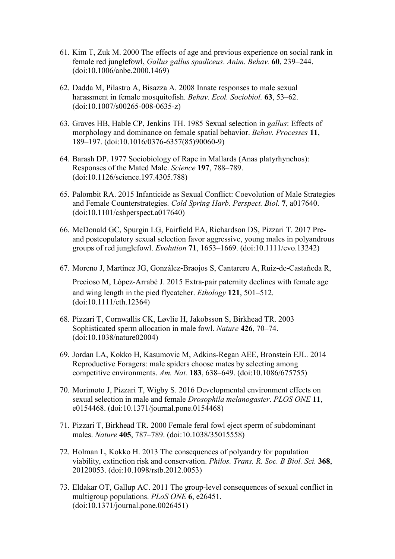- 61. Kim T, Zuk M. 2000 The effects of age and previous experience on social rank in female red junglefowl, *Gallus gallus spadiceus*. *Anim. Behav.* **60**, 239–244. (doi:10.1006/anbe.2000.1469)
- 62. Dadda M, Pilastro A, Bisazza A. 2008 Innate responses to male sexual harassment in female mosquitofish. *Behav. Ecol. Sociobiol.* **63**, 53–62. (doi:10.1007/s00265-008-0635-z)
- 63. Graves HB, Hable CP, Jenkins TH. 1985 Sexual selection in *gallus*: Effects of morphology and dominance on female spatial behavior. *Behav. Processes* **11**, 189–197. (doi:10.1016/0376-6357(85)90060-9)
- 64. Barash DP. 1977 Sociobiology of Rape in Mallards (Anas platyrhynchos): Responses of the Mated Male. *Science* **197**, 788–789. (doi:10.1126/science.197.4305.788)
- 65. Palombit RA. 2015 Infanticide as Sexual Conflict: Coevolution of Male Strategies and Female Counterstrategies. *Cold Spring Harb. Perspect. Biol.* **7**, a017640. (doi:10.1101/cshperspect.a017640)
- 66. McDonald GC, Spurgin LG, Fairfield EA, Richardson DS, Pizzari T. 2017 Preand postcopulatory sexual selection favor aggressive, young males in polyandrous groups of red junglefowl. *Evolution* **71**, 1653–1669. (doi:10.1111/evo.13242)
- 67. Moreno J, Martínez JG, González‐Braojos S, Cantarero A, Ruiz‐de‐Castañeda R,

Precioso M, López‐Arrabé J. 2015 Extra-pair paternity declines with female age and wing length in the pied flycatcher. *Ethology* **121**, 501–512. (doi:10.1111/eth.12364)

- 68. Pizzari T, Cornwallis CK, Løvlie H, Jakobsson S, Birkhead TR. 2003 Sophisticated sperm allocation in male fowl. *Nature* **426**, 70–74. (doi:10.1038/nature02004)
- 69. Jordan LA, Kokko H, Kasumovic M, Adkins-Regan AEE, Bronstein EJL. 2014 Reproductive Foragers: male spiders choose mates by selecting among competitive environments. *Am. Nat.* **183**, 638–649. (doi:10.1086/675755)
- 70. Morimoto J, Pizzari T, Wigby S. 2016 Developmental environment effects on sexual selection in male and female *Drosophila melanogaster*. *PLOS ONE* **11**, e0154468. (doi:10.1371/journal.pone.0154468)
- 71. Pizzari T, Birkhead TR. 2000 Female feral fowl eject sperm of subdominant males. *Nature* **405**, 787–789. (doi:10.1038/35015558)
- 72. Holman L, Kokko H. 2013 The consequences of polyandry for population viability, extinction risk and conservation. *Philos. Trans. R. Soc. B Biol. Sci.* **368**, 20120053. (doi:10.1098/rstb.2012.0053)
- 73. Eldakar OT, Gallup AC. 2011 The group-level consequences of sexual conflict in multigroup populations. *PLoS ONE* **6**, e26451. (doi:10.1371/journal.pone.0026451)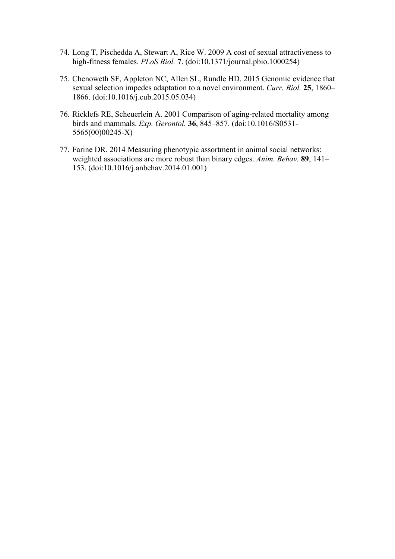- 74. Long T, Pischedda A, Stewart A, Rice W. 2009 A cost of sexual attractiveness to high-fitness females. *PLoS Biol.* **7**. (doi:10.1371/journal.pbio.1000254)
- 75. Chenoweth SF, Appleton NC, Allen SL, Rundle HD. 2015 Genomic evidence that sexual selection impedes adaptation to a novel environment. *Curr. Biol.* **25**, 1860– 1866. (doi:10.1016/j.cub.2015.05.034)
- 76. Ricklefs RE, Scheuerlein A. 2001 Comparison of aging-related mortality among birds and mammals. *Exp. Gerontol.* **36**, 845–857. (doi:10.1016/S0531- 5565(00)00245-X)
- 77. Farine DR. 2014 Measuring phenotypic assortment in animal social networks: weighted associations are more robust than binary edges. *Anim. Behav.* **89**, 141– 153. (doi:10.1016/j.anbehav.2014.01.001)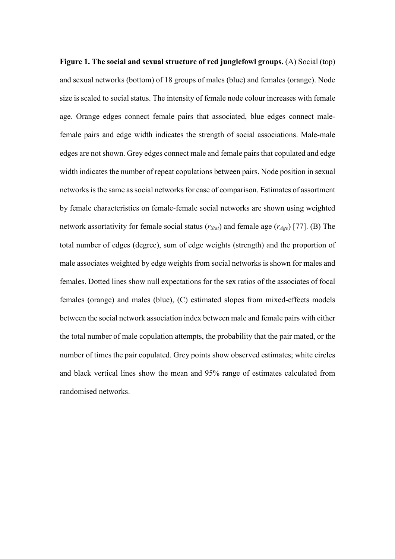**Figure 1. The social and sexual structure of red junglefowl groups.** (A) Social (top) and sexual networks (bottom) of 18 groups of males (blue) and females (orange). Node size is scaled to social status. The intensity of female node colour increases with female age. Orange edges connect female pairs that associated, blue edges connect malefemale pairs and edge width indicates the strength of social associations. Male-male edges are not shown. Grey edges connect male and female pairs that copulated and edge width indicates the number of repeat copulations between pairs. Node position in sexual networks is the same as social networks for ease of comparison. Estimates of assortment by female characteristics on female-female social networks are shown using weighted network assortativity for female social status (*rStat*) and female age (*rAge*) [77]. (B) The total number of edges (degree), sum of edge weights (strength) and the proportion of male associates weighted by edge weights from social networks is shown for males and females. Dotted lines show null expectations for the sex ratios of the associates of focal females (orange) and males (blue), (C) estimated slopes from mixed-effects models between the social network association index between male and female pairs with either the total number of male copulation attempts, the probability that the pair mated, or the number of times the pair copulated. Grey points show observed estimates; white circles and black vertical lines show the mean and 95% range of estimates calculated from randomised networks.